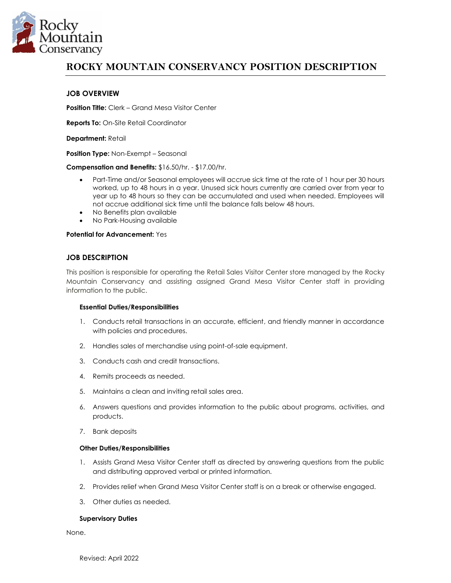

# **ROCKY MOUNTAIN CONSERVANCY POSITION DESCRIPTION**

# **JOB OVERVIEW**

**Position Title:** Clerk – Grand Mesa Visitor Center

**Reports To:** On-Site Retail Coordinator

**Department:** Retail

**Position Type:** Non-Exempt – Seasonal

**Compensation and Benefits:** \$16.50/hr. - \$17.00/hr.

- Part-Time and/or Seasonal employees will accrue sick time at the rate of 1 hour per 30 hours worked, up to 48 hours in a year. Unused sick hours currently are carried over from year to year up to 48 hours so they can be accumulated and used when needed. Employees will not accrue additional sick time until the balance falls below 48 hours.
- No Benefits plan available
- No Park-Housing available

# **Potential for Advancement:** Yes

# **JOB DESCRIPTION**

This position is responsible for operating the Retail Sales Visitor Center store managed by the Rocky Mountain Conservancy and assisting assigned Grand Mesa Visitor Center staff in providing information to the public.

# **Essential Duties/Responsibilities**

- 1. Conducts retail transactions in an accurate, efficient, and friendly manner in accordance with policies and procedures.
- 2. Handles sales of merchandise using point-of-sale equipment.
- 3. Conducts cash and credit transactions.
- 4. Remits proceeds as needed.
- 5. Maintains a clean and inviting retail sales area.
- 6. Answers questions and provides information to the public about programs, activities, and products.
- 7. Bank deposits

# **Other Duties/Responsibilities**

- 1. Assists Grand Mesa Visitor Center staff as directed by answering questions from the public and distributing approved verbal or printed information.
- 2. Provides relief when Grand Mesa Visitor Center staff is on a break or otherwise engaged.
- 3. Other duties as needed.

# **Supervisory Duties**

None.